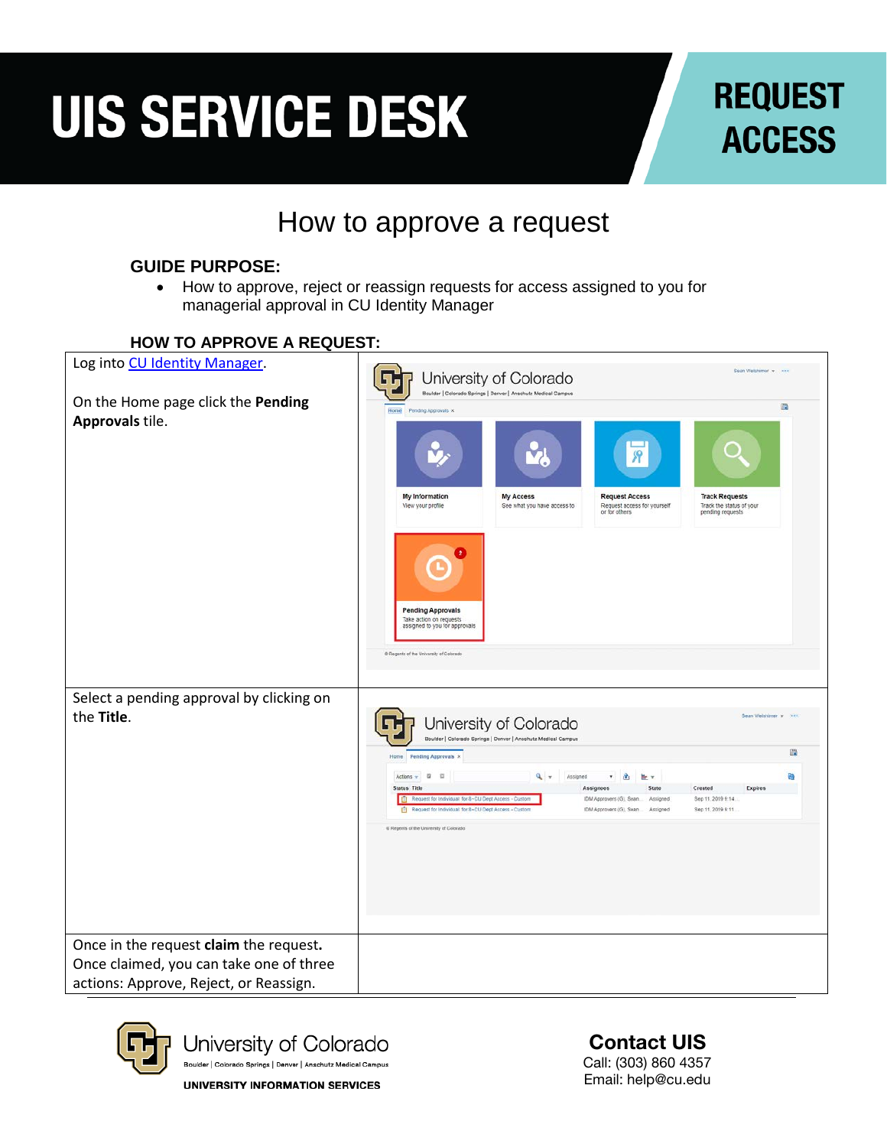### **REQUEST ACCESS**

#### How to approve a request

#### **GUIDE PURPOSE:**

• How to approve, reject or reassign requests for access assigned to you for managerial approval in CU Identity Manager

#### **HOW TO APPROVE A REQUEST:** Log into [CU Identity Manager.](https://identity.prod.cu.edu/identity/)  $\textbf{G}$ and and the con-University of Colorado On the Home page click the **Pending**   $\mathbb{R}$ **Approvals** tile. **Request Access** My Information My Access **Track Requests** Request access for yoursel<br>or for others See what you have access to Track the status of you View your profile **Pending Approvals** action on request<br>ined to you for ap Select a pending approval by clicking on the **Title**. 면 University of Colorado Boulder | Colorado Springs | Denver | Anschutz Medical Campus 躁 Pending Approvals x Actions  $\mathbf{v}$   $\mathbf{u}$   $\mathbf{u}$  $\mathbf{Q}_i = \begin{bmatrix} \mathbf{A} & \mathbf{A} & \mathbf{A} & \mathbf{B} & \mathbf{B} \\ \mathbf{A} & \mathbf{A} & \mathbf{B} & \mathbf{B} & \mathbf{A} \end{bmatrix}$ **Status Title** Assignees Assignees<br>IDM Approvers (G), Sean Assigned Expires Request for Individual for 8-CU Dept Access - Custom Sep 11, 2019 9:14 IDM Approvers (G), Sean.... Assigned Sep 11, 2019 9:11 ents of the University of Colorad Once in the request **claim** the request**.**  Once claimed, you can take one of three actions: Approve, Reject, or Reassign.



University of Colorado Boulder | Colorado Springs | Denver | Anschutz Medical Campus

**UNIVERSITY INFORMATION SERVICES** 

Contact UIS Call: (303) 860 4357 Email: help@cu.edu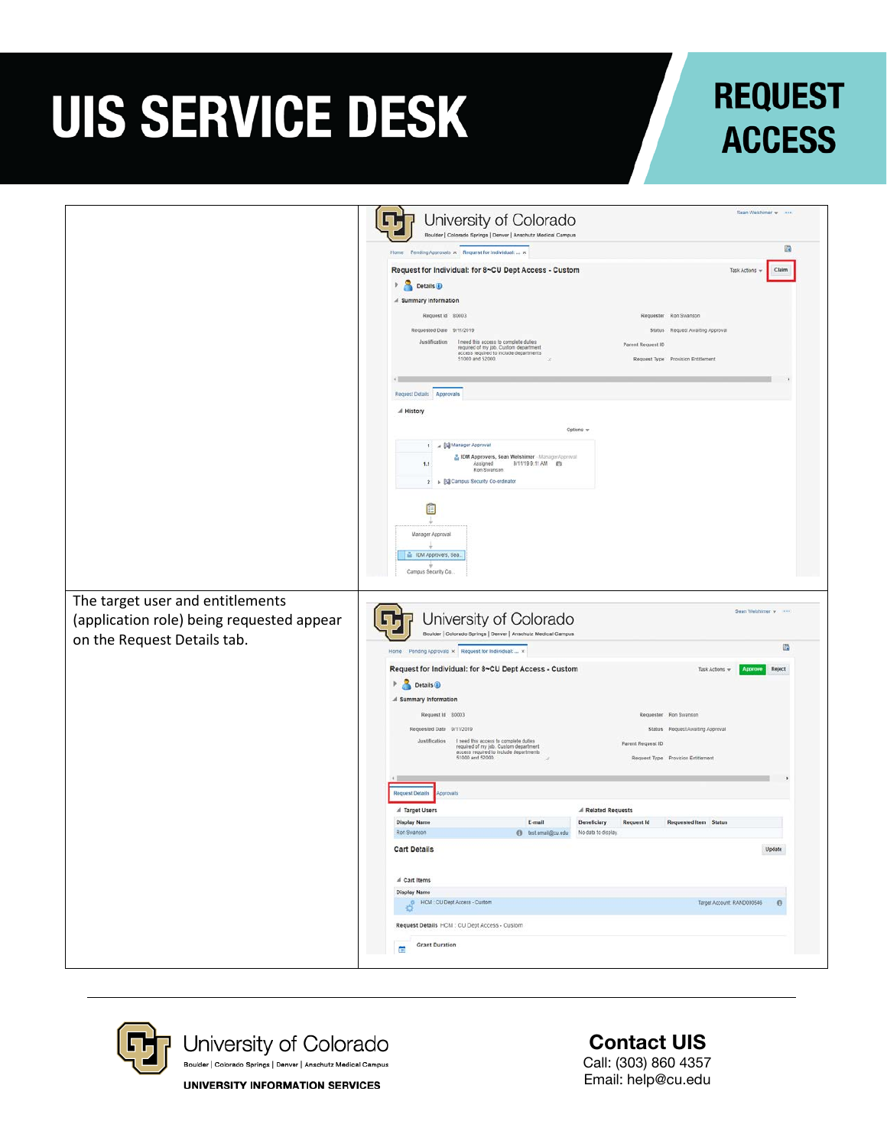### **REQUEST ACCESS**

|                                           | Rean Welshinge w ****<br>University of Colorado<br>احلا                                                                                                     |
|-------------------------------------------|-------------------------------------------------------------------------------------------------------------------------------------------------------------|
|                                           | Boulder   Colorado Springs   Denver   Anschutz Medical Campus                                                                                               |
|                                           | 脑<br>Home Pending Approvals x Request for Individual:  x                                                                                                    |
|                                           | Request for Individual: for 8~CU Dept Access - Custom<br>Task Actions<br>Claim                                                                              |
|                                           | <b>Details</b><br>4 Summary Information                                                                                                                     |
|                                           | Request Id \$0003<br>Requester Ron Swanson                                                                                                                  |
|                                           | Requested Date 9/11/2019<br>Status Request Awaiting Approval                                                                                                |
|                                           | Justification I need this access to complete duties<br>Parent Request ID<br>required of my job. Custom department<br>access required to include departments |
|                                           | 51000 and 52000.<br>Request Type Provision Entitlement                                                                                                      |
|                                           | Request Details Approvals                                                                                                                                   |
|                                           | A History                                                                                                                                                   |
|                                           | Options w                                                                                                                                                   |
|                                           | 1 / Sil Manager Approval                                                                                                                                    |
|                                           | B IDM Approvers, Sean Welshimer - Manager/approval<br>Assigned<br>9/11/19 9.11 AM #9<br>1.1<br>Ron Swanson                                                  |
|                                           | 2           Campus Security Co-ordinator                                                                                                                    |
|                                           | E                                                                                                                                                           |
|                                           |                                                                                                                                                             |
|                                           | Manager Approval                                                                                                                                            |
|                                           | is IDM Approvers, Sea.                                                                                                                                      |
|                                           | Campus Security Co.                                                                                                                                         |
| The target user and entitlements          |                                                                                                                                                             |
| (application role) being requested appear | Sean Welshimer w Window<br>University of Colorado<br>اتالا                                                                                                  |
| on the Request Details tab.               | Boulder   Colorado Springs   Denver   Anschutz Medical Campus                                                                                               |
|                                           | 曲<br>Home Pending Approvals × Request for Individual:  ×                                                                                                    |
|                                           | Request for Individual: for 8~CU Dept Access - Custom<br>Task Actions =<br>Approve<br>Reject                                                                |
|                                           | Details <sup>1</sup><br>Þ                                                                                                                                   |
|                                           | A Summary Information                                                                                                                                       |
|                                           | Request Id 80003<br>Requester Ron Swanson<br>Requested Date 9/11/2019<br>Status Request Awaiting Approval                                                   |
|                                           | Justification I need this access to complete duties<br>Parent Request ID                                                                                    |
|                                           | required of my job. Custom department<br>access required to include departments<br>51000 and 52000.<br>Request Type Provision Entitement                    |
|                                           |                                                                                                                                                             |
|                                           | <b>Request Details</b><br>oprovats                                                                                                                          |
|                                           | al Target Users<br>A Related Requests                                                                                                                       |
|                                           | <b>Display Name</b><br>E-mail<br><b>Request Id</b><br>Requested Item Status<br>Beneficiary<br>Ron Swanson<br>No data to display.<br>@ test email@cu.edu     |
|                                           | Update<br><b>Cart Details</b>                                                                                                                               |
|                                           | ₫ Cart Items                                                                                                                                                |
|                                           | <b>Display Name</b>                                                                                                                                         |
|                                           | HCM CU Dept Access - Custom<br>Target Account: RAND000546<br>$\theta$                                                                                       |
|                                           | Request Details HCM : CU Dept Access - Custom                                                                                                               |
|                                           | <b>Grant Duration</b><br>曽                                                                                                                                  |
|                                           |                                                                                                                                                             |



Contact UIS Call: (303) 860 4357 Email: help@cu.edu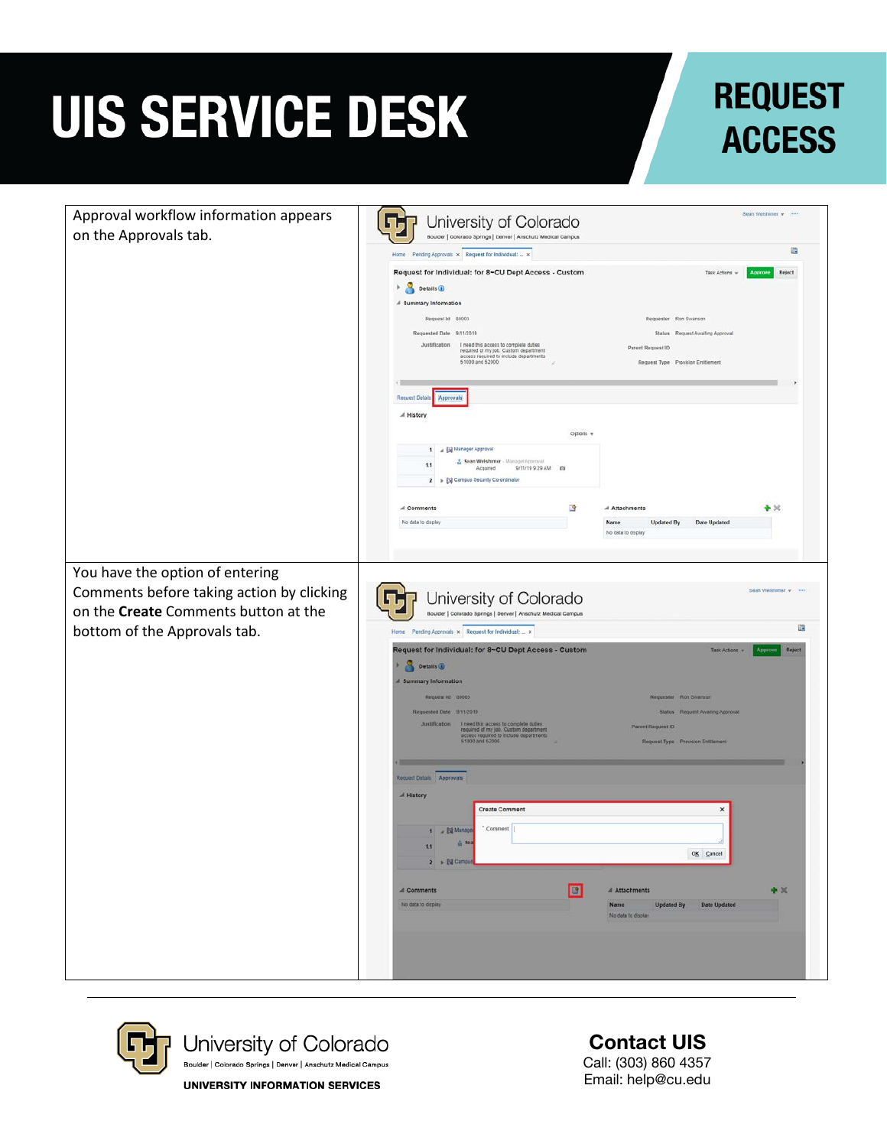### **REQUEST ACCESS**

| Approval workflow information appears     | University of Colorado<br>ا ی                                                                                                                                                             | Sean Welshimer w                         |
|-------------------------------------------|-------------------------------------------------------------------------------------------------------------------------------------------------------------------------------------------|------------------------------------------|
| on the Approvals tab.                     | Boulder   Colorado Springs   Denver   Anschutz Medical Campus                                                                                                                             |                                          |
|                                           |                                                                                                                                                                                           | 衢                                        |
|                                           | Request for Individual: for 8-CU Dept Access - Custom<br>Task Actions w                                                                                                                   | Reject<br><b>Approve</b>                 |
|                                           | Details (                                                                                                                                                                                 |                                          |
|                                           | # Summary Information                                                                                                                                                                     |                                          |
|                                           | Request Id 80003<br>Requester Ron Swanson<br>Requested Date 9/11/2019<br>Status Request Awaiting Approval                                                                                 |                                          |
|                                           | Justification<br>I need this access to complete duties<br>Parent Request ID                                                                                                               |                                          |
|                                           | required of my job. Custom department<br>access required to include departments<br>51000 and 52000.<br>Request Type Provision Entitlement                                                 |                                          |
|                                           |                                                                                                                                                                                           |                                          |
|                                           | <b>Request Details</b><br>Approvals                                                                                                                                                       |                                          |
|                                           | A History                                                                                                                                                                                 |                                          |
|                                           | Options w                                                                                                                                                                                 |                                          |
|                                           | 1 4 Manager Approval                                                                                                                                                                      |                                          |
|                                           | Sean Welshimer - ManagerApproval<br>1.1<br>9/11/19 9:29 AM #9<br>Acquired                                                                                                                 |                                          |
|                                           | 2 > Campus Security Co-ordinator                                                                                                                                                          |                                          |
|                                           | B<br>A Comments<br>Attachments                                                                                                                                                            | $\blacktriangleright$ $\times$           |
|                                           | No data to display<br><b>Updated By</b><br>Date Updated<br>Name                                                                                                                           |                                          |
|                                           | No data to display                                                                                                                                                                        |                                          |
|                                           |                                                                                                                                                                                           |                                          |
| You have the option of entering           |                                                                                                                                                                                           |                                          |
| Comments before taking action by clicking | University of Colorado                                                                                                                                                                    | Saan Walshimar w 1999                    |
| on the Create Comments button at the      | امی<br>Boulder   Colorado Springs   Denver   Anschutz Medical Campus                                                                                                                      |                                          |
| bottom of the Approvals tab.              | Home Pending Approvals x Request for Individual:  x                                                                                                                                       | 倘                                        |
|                                           | Request for Individual: for 8~CU Dept Access - Custom                                                                                                                                     | Task Actions<br>Approve<br><b>Reject</b> |
|                                           | Details (<br>×                                                                                                                                                                            |                                          |
|                                           | <b>Summary Information</b>                                                                                                                                                                |                                          |
|                                           | Request Id 80003<br>Requester Ron Swanson                                                                                                                                                 |                                          |
|                                           | Requested Date 9/11/2019<br>Status Request Awaiting Approval                                                                                                                              |                                          |
|                                           | Justification<br>I need this access to complete duties<br>required of my job. Custom department<br>access required to include departments<br>51000 and 52000.<br><b>Parent Request ID</b> |                                          |
|                                           | Request Type Provision Entitlement                                                                                                                                                        |                                          |
|                                           |                                                                                                                                                                                           |                                          |
|                                           | Request Details Approvals                                                                                                                                                                 |                                          |
|                                           | A History<br><b>Create Comment</b><br>×                                                                                                                                                   |                                          |
|                                           |                                                                                                                                                                                           |                                          |
|                                           | * Comment<br>1 a Bill Manage<br>& Sea                                                                                                                                                     |                                          |
|                                           | 1.1<br>OK Cancel<br>2 > bij Campu                                                                                                                                                         |                                          |
|                                           |                                                                                                                                                                                           |                                          |
|                                           | $\Box$<br>A Comments<br>Attachments                                                                                                                                                       | $+30$                                    |
|                                           | No data to display<br>Updated By Date Updated<br>Name<br>No data to display.                                                                                                              |                                          |
|                                           |                                                                                                                                                                                           |                                          |
|                                           |                                                                                                                                                                                           |                                          |
|                                           |                                                                                                                                                                                           |                                          |
|                                           |                                                                                                                                                                                           |                                          |



Contact UIS Call: (303) 860 4357 Email: help@cu.edu